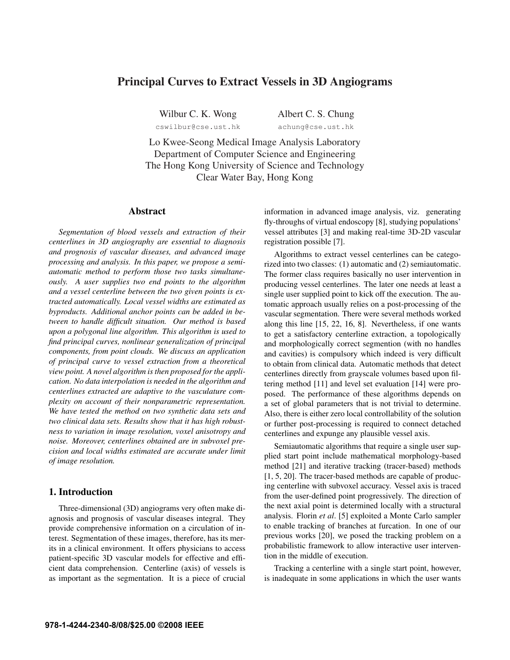# Principal Curves to Extract Vessels in 3D Angiograms

Wilbur C. K. Wong cswilbur@cse.ust.hk Albert C. S. Chung achung@cse.ust.hk

Lo Kwee-Seong Medical Image Analysis Laboratory Department of Computer Science and Engineering The Hong Kong University of Science and Technology Clear Water Bay, Hong Kong

#### Abstract

*Segmentation of blood vessels and extraction of their centerlines in 3D angiography are essential to diagnosis and prognosis of vascular diseases, and advanced image processing and analysis. In this paper, we propose a semiautomatic method to perform those two tasks simultaneously. A user supplies two end points to the algorithm and a vessel centerline between the two given points is extracted automatically. Local vessel widths are estimated as byproducts. Additional anchor points can be added in between to handle difficult situation. Our method is based upon a polygonal line algorithm. This algorithm is used to find principal curves, nonlinear generalization of principal components, from point clouds. We discuss an application of principal curve to vessel extraction from a theoretical view point. A novel algorithm is then proposed for the application. No data interpolation is needed in the algorithm and centerlines extracted are adaptive to the vasculature complexity on account of their nonparametric representation. We have tested the method on two synthetic data sets and two clinical data sets. Results show that it has high robustness to variation in image resolution, voxel anisotropy and noise. Moreover, centerlines obtained are in subvoxel precision and local widths estimated are accurate under limit of image resolution.*

# 1. Introduction

Three-dimensional (3D) angiograms very often make diagnosis and prognosis of vascular diseases integral. They provide comprehensive information on a circulation of interest. Segmentation of these images, therefore, has its merits in a clinical environment. It offers physicians to access patient-specific 3D vascular models for effective and efficient data comprehension. Centerline (axis) of vessels is as important as the segmentation. It is a piece of crucial

information in advanced image analysis, viz. generating fly-throughs of virtual endoscopy [8], studying populations' vessel attributes [3] and making real-time 3D-2D vascular registration possible [7].

Algorithms to extract vessel centerlines can be categorized into two classes: (1) automatic and (2) semiautomatic. The former class requires basically no user intervention in producing vessel centerlines. The later one needs at least a single user supplied point to kick off the execution. The automatic approach usually relies on a post-processing of the vascular segmentation. There were several methods worked along this line [15, 22, 16, 8]. Nevertheless, if one wants to get a satisfactory centerline extraction, a topologically and morphologically correct segmention (with no handles and cavities) is compulsory which indeed is very difficult to obtain from clinical data. Automatic methods that detect centerlines directly from grayscale volumes based upon filtering method [11] and level set evaluation [14] were proposed. The performance of these algorithms depends on a set of global parameters that is not trivial to determine. Also, there is either zero local controllability of the solution or further post-processing is required to connect detached centerlines and expunge any plausible vessel axis.

Semiautomatic algorithms that require a single user supplied start point include mathematical morphology-based method [21] and iterative tracking (tracer-based) methods [1, 5, 20]. The tracer-based methods are capable of producing centerline with subvoxel accuracy. Vessel axis is traced from the user-defined point progressively. The direction of the next axial point is determined locally with a structural analysis. Florin *et al*. [5] exploited a Monte Carlo sampler to enable tracking of branches at furcation. In one of our previous works [20], we posed the tracking problem on a probabilistic framework to allow interactive user intervention in the middle of execution.

Tracking a centerline with a single start point, however, is inadequate in some applications in which the user wants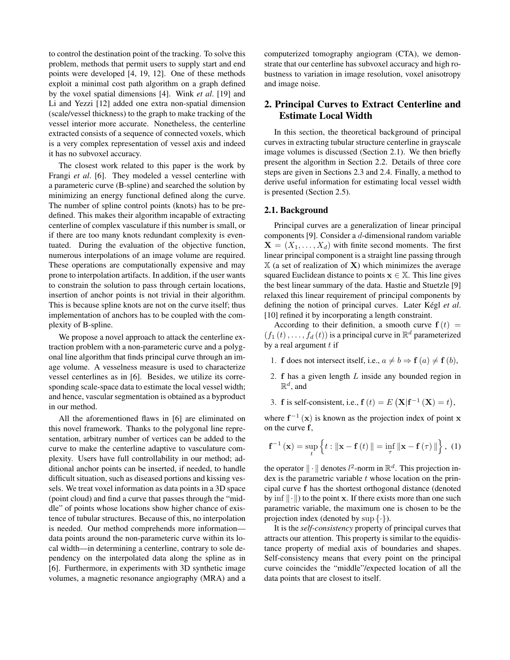to control the destination point of the tracking. To solve this problem, methods that permit users to supply start and end points were developed [4, 19, 12]. One of these methods exploit a minimal cost path algorithm on a graph defined by the voxel spatial dimensions [4]. Wink *et al*. [19] and Li and Yezzi [12] added one extra non-spatial dimension (scale/vessel thickness) to the graph to make tracking of the vessel interior more accurate. Nonetheless, the centerline extracted consists of a sequence of connected voxels, which is a very complex representation of vessel axis and indeed it has no subvoxel accuracy.

The closest work related to this paper is the work by Frangi *et al*. [6]. They modeled a vessel centerline with a parameteric curve (B-spline) and searched the solution by minimizing an energy functional defined along the curve. The number of spline control points (knots) has to be predefined. This makes their algorithm incapable of extracting centerline of complex vasculature if this number is small, or if there are too many knots redundant complexity is eventuated. During the evaluation of the objective function, numerous interpolations of an image volume are required. These operations are computationally expensive and may prone to interpolation artifacts. In addition, if the user wants to constrain the solution to pass through certain locations, insertion of anchor points is not trivial in their algorithm. This is because spline knots are not on the curve itself; thus implementation of anchors has to be coupled with the complexity of B-spline.

We propose a novel approach to attack the centerline extraction problem with a non-parameteric curve and a polygonal line algorithm that finds principal curve through an image volume. A vesselness measure is used to characterize vessel centerlines as in [6]. Besides, we utilize its corresponding scale-space data to estimate the local vessel width; and hence, vascular segmentation is obtained as a byproduct in our method.

All the aforementioned flaws in [6] are eliminated on this novel framework. Thanks to the polygonal line representation, arbitrary number of vertices can be added to the curve to make the centerline adaptive to vasculature complexity. Users have full controllability in our method; additional anchor points can be inserted, if needed, to handle difficult situation, such as diseased portions and kissing vessels. We treat voxel information as data points in a 3D space (point cloud) and find a curve that passes through the "middle" of points whose locations show higher chance of existence of tubular structures. Because of this, no interpolation is needed. Our method comprehends more information data points around the non-parameteric curve within its local width—in determining a centerline, contrary to sole dependency on the interpolated data along the spline as in [6]. Furthermore, in experiments with 3D synthetic image volumes, a magnetic resonance angiography (MRA) and a

computerized tomography angiogram (CTA), we demonstrate that our centerline has subvoxel accuracy and high robustness to variation in image resolution, voxel anisotropy and image noise.

# 2. Principal Curves to Extract Centerline and Estimate Local Width

In this section, the theoretical background of principal curves in extracting tubular structure centerline in grayscale image volumes is discussed (Section 2.1). We then briefly present the algorithm in Section 2.2. Details of three core steps are given in Sections 2.3 and 2.4. Finally, a method to derive useful information for estimating local vessel width is presented (Section 2.5).

#### 2.1. Background

Principal curves are a generalization of linear principal components [9]. Consider a d-dimensional random variable  $X = (X_1, \ldots, X_d)$  with finite second moments. The first linear principal component is a straight line passing through  $X$  (a set of realization of  $X$ ) which minimizes the average squared Euclidean distance to points  $x \in \mathbb{X}$ . This line gives the best linear summary of the data. Hastie and Stuetzle [9] relaxed this linear requirement of principal components by defining the notion of principal curves. Later Kégl et al. [10] refined it by incorporating a length constraint.

According to their definition, a smooth curve  $f(t)$  =  $(f_1(t),..., f_d(t))$  is a principal curve in  $\mathbb{R}^d$  parameterized by a real argument  $t$  if

- 1. **f** does not intersect itself, i.e.,  $a \neq b \Rightarrow$  **f**  $(a) \neq$  **f**  $(b)$ ,
- 2.  $f$  has a given length  $L$  inside any bounded region in  $\mathbb{R}^d$ , and
- 3. **f** is self-consistent, i.e., **f**  $(t) = E(\mathbf{X} | \mathbf{f}^{-1}(\mathbf{X}) = t)$ ,

where  $f^{-1}(x)$  is known as the projection index of point x on the curve f,

$$
\mathbf{f}^{-1}\left(\mathbf{x}\right) = \sup_{t} \left\{ t : \|\mathbf{x} - \mathbf{f}\left(t\right)\| = \inf_{\tau} \|\mathbf{x} - \mathbf{f}\left(\tau\right)\| \right\}, \tag{1}
$$

the operator  $\|\cdot\|$  denotes  $l^2$ -norm in  $\mathbb{R}^d$ . This projection in- $\gamma$  dex is the parametric variable t whose location on the principal curve f has the shortest orthogonal distance (denoted by inf  $\|\cdot\|$  to the point x. If there exists more than one such parametric variable, the maximum one is chosen to be the projection index (denoted by sup  $\{\cdot\}$ ).

It is the *self-consistency* property of principal curves that attracts our attention. This property is similar to the equidistance property of medial axis of boundaries and shapes. Self-consistency means that every point on the principal curve coincides the "middle"/expected location of all the data points that are closest to itself.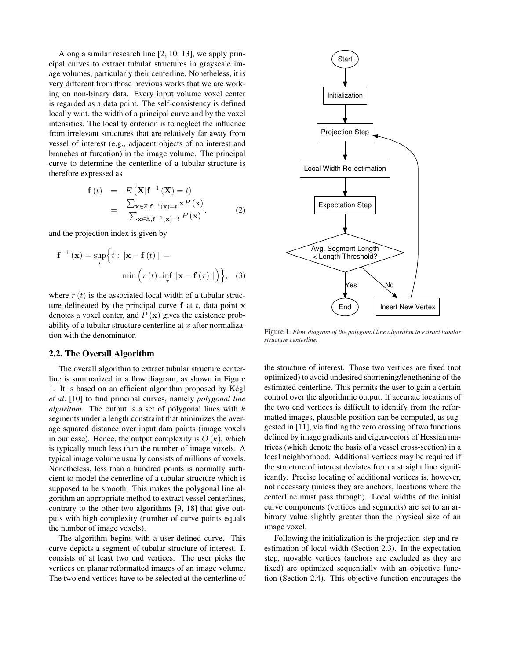Along a similar research line [2, 10, 13], we apply principal curves to extract tubular structures in grayscale image volumes, particularly their centerline. Nonetheless, it is very different from those previous works that we are working on non-binary data. Every input volume voxel center is regarded as a data point. The self-consistency is defined locally w.r.t. the width of a principal curve and by the voxel intensities. The locality criterion is to neglect the influence from irrelevant structures that are relatively far away from vessel of interest (e.g., adjacent objects of no interest and branches at furcation) in the image volume. The principal curve to determine the centerline of a tubular structure is therefore expressed as

$$
\mathbf{f}(t) = E\left(\mathbf{X}|\mathbf{f}^{-1}\left(\mathbf{X}\right) = t\right)
$$
\n
$$
= \frac{\sum_{\mathbf{x} \in \mathbb{X}, \mathbf{f}^{-1}\left(\mathbf{x}\right) = t} \mathbf{x} P\left(\mathbf{x}\right)}{\sum_{\mathbf{x} \in \mathbb{X}, \mathbf{f}^{-1}\left(\mathbf{x}\right) = t} P\left(\mathbf{x}\right)},\tag{2}
$$

and the projection index is given by

$$
\mathbf{f}^{-1}(\mathbf{x}) = \sup_{t} \Biggl\{ t : \|\mathbf{x} - \mathbf{f}(t)\| = \min \Biggl( r(t), \inf_{\tau} \|\mathbf{x} - \mathbf{f}(\tau)\| \Biggr) \Biggr\}, \quad (3)
$$

where  $r(t)$  is the associated local width of a tubular structure delineated by the principal curve  $f$  at  $t$ , data point  $x$ denotes a voxel center, and  $P(x)$  gives the existence probability of a tubular structure centerline at  $x$  after normalization with the denominator.

#### 2.2. The Overall Algorithm

The overall algorithm to extract tubular structure centerline is summarized in a flow diagram, as shown in Figure 1. It is based on an efficient algorithm proposed by Kégl *et al*. [10] to find principal curves, namely *polygonal line algorithm*. The output is a set of polygonal lines with k segments under a length constraint that minimizes the average squared distance over input data points (image voxels in our case). Hence, the output complexity is  $O(k)$ , which is typically much less than the number of image voxels. A typical image volume usually consists of millions of voxels. Nonetheless, less than a hundred points is normally sufficient to model the centerline of a tubular structure which is supposed to be smooth. This makes the polygonal line algorithm an appropriate method to extract vessel centerlines, contrary to the other two algorithms [9, 18] that give outputs with high complexity (number of curve points equals the number of image voxels).

The algorithm begins with a user-defined curve. This curve depicts a segment of tubular structure of interest. It consists of at least two end vertices. The user picks the vertices on planar reformatted images of an image volume. The two end vertices have to be selected at the centerline of



Figure 1. *Flow diagram of the polygonal line algorithm to extract tubular structure centerline.*

the structure of interest. Those two vertices are fixed (not optimized) to avoid undesired shortening/lengthening of the estimated centerline. This permits the user to gain a certain control over the algorithmic output. If accurate locations of the two end vertices is difficult to identify from the reformatted images, plausible position can be computed, as suggested in [11], via finding the zero crossing of two functions defined by image gradients and eigenvectors of Hessian matrices (which denote the basis of a vessel cross-section) in a local neighborhood. Additional vertices may be required if the structure of interest deviates from a straight line significantly. Precise locating of additional vertices is, however, not necessary (unless they are anchors, locations where the centerline must pass through). Local widths of the initial curve components (vertices and segments) are set to an arbitrary value slightly greater than the physical size of an image voxel.

Following the initialization is the projection step and reestimation of local width (Section 2.3). In the expectation step, movable vertices (anchors are excluded as they are fixed) are optimized sequentially with an objective function (Section 2.4). This objective function encourages the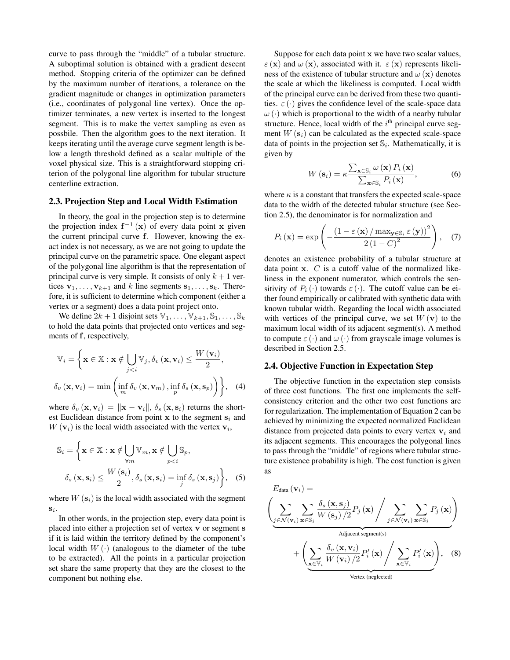curve to pass through the "middle" of a tubular structure. A suboptimal solution is obtained with a gradient descent method. Stopping criteria of the optimizer can be defined by the maximum number of iterations, a tolerance on the gradient magnitude or changes in optimization parameters (i.e., coordinates of polygonal line vertex). Once the optimizer terminates, a new vertex is inserted to the longest segment. This is to make the vertex sampling as even as possbile. Then the algorithm goes to the next iteration. It keeps iterating until the average curve segment length is below a length threshold defined as a scalar multiple of the voxel physical size. This is a straightforward stopping criterion of the polygonal line algorithm for tubular structure centerline extraction.

## 2.3. Projection Step and Local Width Estimation

In theory, the goal in the projection step is to determine the projection index  $f^{-1}(x)$  of every data point x given the current principal curve f. However, knowing the exact index is not necessary, as we are not going to update the principal curve on the parametric space. One elegant aspect of the polygonal line algorithm is that the representation of principal curve is very simple. It consists of only  $k + 1$  vertices  $\mathbf{v}_1, \ldots, \mathbf{v}_{k+1}$  and k line segments  $\mathbf{s}_1, \ldots, \mathbf{s}_k$ . Therefore, it is sufficient to determine which component (either a vertex or a segment) does a data point project onto.

We define  $2k + 1$  disjoint sets  $\mathbb{V}_1, \ldots, \mathbb{V}_{k+1}, \mathbb{S}_1, \ldots, \mathbb{S}_k$ to hold the data points that projected onto vertices and segments of f, respectively,

$$
\mathbb{V}_{i} = \left\{ \mathbf{x} \in \mathbb{X} : \mathbf{x} \notin \bigcup_{j < i} \mathbb{V}_{j}, \delta_{v} (\mathbf{x}, \mathbf{v}_{i}) \leq \frac{W (\mathbf{v}_{i})}{2}, \delta_{v} (\mathbf{x}, \mathbf{v}_{i}) = \min \left( \inf_{m} \delta_{v} (\mathbf{x}, \mathbf{v}_{m}), \inf_{p} \delta_{s} (\mathbf{x}, \mathbf{s}_{p}) \right) \right\}, \quad (4)
$$

where  $\delta_v(\mathbf{x}, \mathbf{v}_i) = ||\mathbf{x} - \mathbf{v}_i||$ ,  $\delta_s(\mathbf{x}, \mathbf{s}_i)$  returns the shortest Euclidean distance from point  $x$  to the segment  $s_i$  and  $W(\mathbf{v}_i)$  is the local width associated with the vertex  $\mathbf{v}_i$ ,

$$
\mathbb{S}_{i} = \left\{ \mathbf{x} \in \mathbb{X} : \mathbf{x} \notin \bigcup_{\forall m} \mathbb{V}_{m}, \mathbf{x} \notin \bigcup_{p < i} \mathbb{S}_{p}, \delta_{s}(\mathbf{x}, \mathbf{s}_{i}) \leq \frac{W(\mathbf{s}_{i})}{2}, \delta_{s}(\mathbf{x}, \mathbf{s}_{i}) = \inf_{j} \delta_{s}(\mathbf{x}, \mathbf{s}_{j}) \right\},
$$
(5)

where  $W(\mathbf{s}_i)$  is the local width associated with the segment  $s_i$ .

In other words, in the projection step, every data point is placed into either a projection set of vertex v or segment s if it is laid within the territory defined by the component's local width  $W(\cdot)$  (analogous to the diameter of the tube to be extracted). All the points in a particular projection set share the same property that they are the closest to the component but nothing else.

Suppose for each data point x we have two scalar values,  $\varepsilon$  (x) and  $\omega$  (x), associated with it.  $\varepsilon$  (x) represents likeliness of the existence of tubular structure and  $\omega(\mathbf{x})$  denotes the scale at which the likeliness is computed. Local width of the principal curve can be derived from these two quantities.  $\varepsilon(\cdot)$  gives the confidence level of the scale-space data  $\omega(\cdot)$  which is proportional to the width of a nearby tubular structure. Hence, local width of the  $i<sup>th</sup>$  principal curve segment  $W(\mathbf{s}_i)$  can be calculated as the expected scale-space data of points in the projection set  $\mathbb{S}_i$ . Mathematically, it is given by

$$
W\left(\mathbf{s}_{i}\right)=\kappa\frac{\sum_{\mathbf{x}\in\mathbb{S}_{i}}\omega\left(\mathbf{x}\right)P_{i}\left(\mathbf{x}\right)}{\sum_{\mathbf{x}\in\mathbb{S}_{i}}P_{i}\left(\mathbf{x}\right)},\tag{6}
$$

where  $\kappa$  is a constant that transfers the expected scale-space data to the width of the detected tubular structure (see Section 2.5), the denominator is for normalization and

$$
P_i(\mathbf{x}) = \exp\left(-\frac{\left(1 - \varepsilon(\mathbf{x}) / \max_{\mathbf{y} \in \mathbb{S}_i} \varepsilon(\mathbf{y})\right)^2}{2\left(1 - C\right)^2}\right), \quad (7)
$$

denotes an existence probability of a tubular structure at data point  $x$ .  $C$  is a cutoff value of the normalized likeliness in the exponent numerator, which controls the sensitivity of  $P_i(\cdot)$  towards  $\varepsilon(\cdot)$ . The cutoff value can be either found empirically or calibrated with synthetic data with known tubular width. Regarding the local width associated with vertices of the principal curve, we set  $W(\mathbf{v})$  to the maximum local width of its adjacent segment(s). A method to compute  $\varepsilon(\cdot)$  and  $\omega(\cdot)$  from grayscale image volumes is described in Section 2.5.

#### 2.4. Objective Function in Expectation Step

The objective function in the expectation step consists of three cost functions. The first one implements the selfconsistency criterion and the other two cost functions are for regularization. The implementation of Equation 2 can be achieved by minimizing the expected normalized Euclidean distance from projected data points to every vertex  $v_i$  and its adjacent segments. This encourages the polygonal lines to pass through the "middle" of regions where tubular structure existence probability is high. The cost function is given as

$$
E_{\text{data}}(\mathbf{v}_{i}) = \left(\underbrace{\sum_{j \in \mathcal{N}(\mathbf{v}_{i})} \sum_{\mathbf{x} \in \mathbb{S}_{j}} \frac{\delta_{s}(\mathbf{x}, \mathbf{s}_{j})}{W(\mathbf{s}_{j})/2} P_{j}(\mathbf{x}) / \sum_{j \in \mathcal{N}(\mathbf{v}_{i})} \sum_{\mathbf{x} \in \mathbb{S}_{j}} P_{j}(\mathbf{x})}{\text{Adjacent segment(s)}} + \left(\underbrace{\sum_{\mathbf{x} \in \mathbb{V}_{i}} \frac{\delta_{v}(\mathbf{x}, \mathbf{v}_{i})}{W(\mathbf{v}_{i})/2} P'_{i}(\mathbf{x}) / \sum_{\mathbf{x} \in \mathbb{V}_{i}} P'_{i}(\mathbf{x})}}_{\text{Vertex (neglected)}}\right), \quad (8)
$$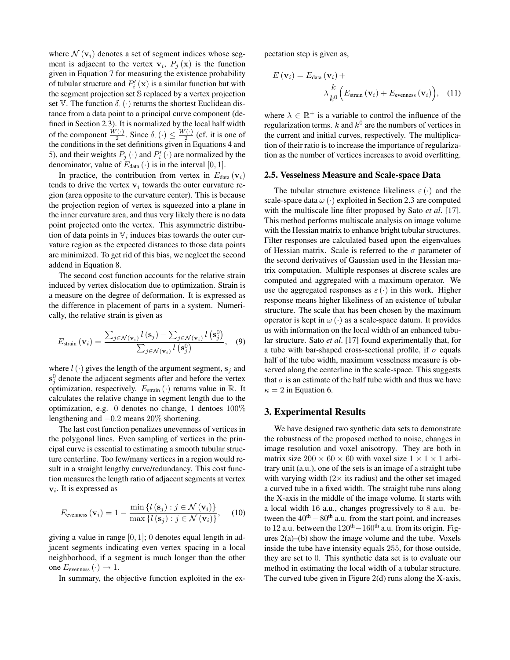where  $\mathcal{N}(\mathbf{v}_i)$  denotes a set of segment indices whose segment is adjacent to the vertex  $v_i$ ,  $P_j(x)$  is the function given in Equation 7 for measuring the existence probability of tubular structure and  $P_i'(\mathbf{x})$  is a similar function but with the segment projection set S replaced by a vertex projection set V. The function  $\delta$ . ( $\cdot$ ) returns the shortest Euclidean distance from a data point to a principal curve component (defined in Section 2.3). It is normalized by the local half width of the component  $\frac{W(\cdot)}{2}$ . Since  $\delta$ .  $(\cdot) \leq \frac{W(\cdot)}{2}$  (cf. it is one of the conditions in the set definitions given in Equations 4 and 5), and their weights  $P_j(\cdot)$  and  $P'_i(\cdot)$  are normalized by the denominator, value of  $E_{data}(\cdot)$  is in the interval [0, 1].

In practice, the contribution from vertex in  $E_{data}(\mathbf{v}_i)$ tends to drive the vertex  $v_i$  towards the outer curvature region (area opposite to the curvature center). This is because the projection region of vertex is squeezed into a plane in the inner curvature area, and thus very likely there is no data point projected onto the vertex. This asymmetric distribution of data points in  $V_i$  induces bias towards the outer curvature region as the expected distances to those data points are minimized. To get rid of this bias, we neglect the second addend in Equation 8.

The second cost function accounts for the relative strain induced by vertex dislocation due to optimization. Strain is a measure on the degree of deformation. It is expressed as the difference in placement of parts in a system. Numerically, the relative strain is given as

$$
E_{\text{strain}}\left(\mathbf{v}_{i}\right) = \frac{\sum_{j \in \mathcal{N}\left(\mathbf{v}_{i}\right)} l\left(\mathbf{s}_{j}\right) - \sum_{j \in \mathcal{N}\left(\mathbf{v}_{i}\right)} l\left(\mathbf{s}_{j}^{0}\right)}{\sum_{j \in \mathcal{N}\left(\mathbf{v}_{i}\right)} l\left(\mathbf{s}_{j}^{0}\right)},\quad(9)
$$

where  $l(\cdot)$  gives the length of the argument segment,  $s_i$  and  $s_j^0$  denote the adjacent segments after and before the vertex optimization, respectively.  $E_{\text{strain}} (\cdot)$  returns value in R. It calculates the relative change in segment length due to the optimization, e.g. 0 denotes no change, 1 dentoes 100% lengthening and −0.2 means 20% shortening.

The last cost function penalizes unevenness of vertices in the polygonal lines. Even sampling of vertices in the principal curve is essential to estimating a smooth tubular structure centerline. Too few/many vertices in a region would result in a straight lengthy curve/redundancy. This cost function measures the length ratio of adjacent segments at vertex  $v_i$ . It is expressed as

$$
E_{\text{evenness}}\left(\mathbf{v}_{i}\right) = 1 - \frac{\min\left\{l\left(\mathbf{s}_{j}\right): j \in \mathcal{N}\left(\mathbf{v}_{i}\right)\right\}}{\max\left\{l\left(\mathbf{s}_{j}\right): j \in \mathcal{N}\left(\mathbf{v}_{i}\right)\right\}},\quad(10)
$$

giving a value in range  $[0, 1]$ ; 0 denotes equal length in adjacent segments indicating even vertex spacing in a local neighborhood, if a segment is much longer than the other one  $E_{\text{evennes}}(\cdot) \rightarrow 1$ .

In summary, the objective function exploited in the ex-

pectation step is given as,

$$
E(\mathbf{v}_i) = E_{\text{data}}(\mathbf{v}_i) + \lambda \frac{k}{k^0} \Big( E_{\text{strain}}(\mathbf{v}_i) + E_{\text{evennes}}(\mathbf{v}_i) \Big), \quad (11)
$$

where  $\lambda \in \mathbb{R}^+$  is a variable to control the influence of the regularization terms.  $k$  and  $k^0$  are the numbers of vertices in the current and initial curves, respectively. The multiplication of their ratio is to increase the importance of regularization as the number of vertices increases to avoid overfitting.

#### 2.5. Vesselness Measure and Scale-space Data

The tubular structure existence likeliness  $\varepsilon(\cdot)$  and the scale-space data  $\omega(\cdot)$  exploited in Section 2.3 are computed with the multiscale line filter proposed by Sato *et al*. [17]. This method performs multiscale analysis on image volume with the Hessian matrix to enhance bright tubular structures. Filter responses are calculated based upon the eigenvalues of Hessian matrix. Scale is referred to the  $\sigma$  parameter of the second derivatives of Gaussian used in the Hessian matrix computation. Multiple responses at discrete scales are computed and aggregated with a maximum operator. We use the aggregated responses as  $\varepsilon(\cdot)$  in this work. Higher response means higher likeliness of an existence of tubular structure. The scale that has been chosen by the maximum operator is kept in  $\omega(\cdot)$  as a scale-space datum. It provides us with information on the local width of an enhanced tubular structure. Sato *et al*. [17] found experimentally that, for a tube with bar-shaped cross-sectional profile, if  $\sigma$  equals half of the tube width, maximum vesselness measure is observed along the centerline in the scale-space. This suggests that  $\sigma$  is an estimate of the half tube width and thus we have  $\kappa = 2$  in Equation 6.

### 3. Experimental Results

We have designed two synthetic data sets to demonstrate the robustness of the proposed method to noise, changes in image resolution and voxel anisotropy. They are both in matrix size  $200 \times 60 \times 60$  with voxel size  $1 \times 1 \times 1$  arbitrary unit (a.u.), one of the sets is an image of a straight tube with varying width  $(2 \times$  its radius) and the other set imaged a curved tube in a fixed width. The straight tube runs along the X-axis in the middle of the image volume. It starts with a local width 16 a.u., changes progressively to 8 a.u. between the  $40^{th} - 80^{th}$  a.u. from the start point, and increases to 12 a.u. between the  $120<sup>th</sup> - 160<sup>th</sup>$  a.u. from its origin. Figures  $2(a)$ –(b) show the image volume and the tube. Voxels inside the tube have intensity equals 255, for those outside, they are set to 0. This synthetic data set is to evaluate our method in estimating the local width of a tubular structure. The curved tube given in Figure 2(d) runs along the X-axis,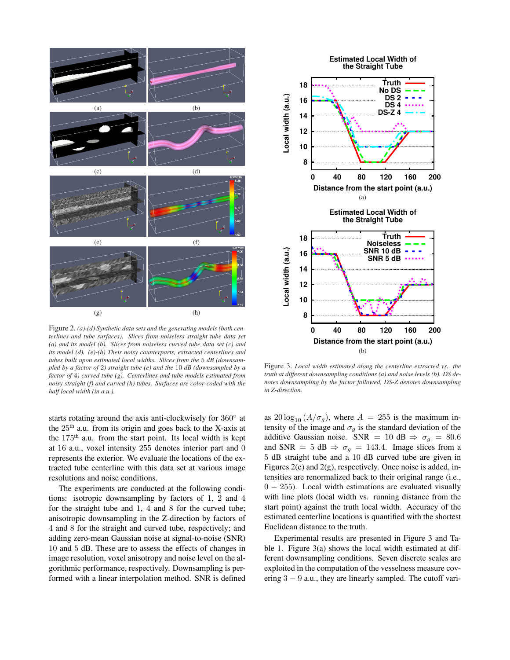

Figure 2. *(a)-(d) Synthetic data sets and the generating models (both centerlines and tube surfaces). Slices from noiseless straight tube data set (a) and its model (b). Slices from noiseless curved tube data set (c) and its model (d). (e)-(h) Their noisy counterparts, extracted centerlines and tubes built upon estimated local widths. Slices from the* 5 *dB (downsampled by a factor of* 2*) straight tube (e) and the* 10 *dB (downsampled by a factor of* 4*) curved tube (g). Centerlines and tube models estimated from noisy straight (f) and curved (h) tubes. Surfaces are color-coded with the half local width (in a.u.).*

starts rotating around the axis anti-clockwisely for 360<sup>°</sup> at the  $25<sup>th</sup>$  a.u. from its origin and goes back to the X-axis at the  $175<sup>th</sup>$  a.u. from the start point. Its local width is kept at 16 a.u., voxel intensity 255 denotes interior part and 0 represents the exterior. We evaluate the locations of the extracted tube centerline with this data set at various image resolutions and noise conditions.

The experiments are conducted at the following conditions: isotropic downsampling by factors of 1, 2 and 4 for the straight tube and 1, 4 and 8 for the curved tube; anisotropic downsampling in the Z-direction by factors of 4 and 8 for the straight and curved tube, respectively; and adding zero-mean Gaussian noise at signal-to-noise (SNR) 10 and 5 dB. These are to assess the effects of changes in image resolution, voxel anisotropy and noise level on the algorithmic performance, respectively. Downsampling is per-



Figure 3. *Local width estimated along the centerline extracted vs. the truth at different downsampling conditions (a) and noise levels (b). DS denotes downsampling by the factor followed, DS-Z denotes downsampling in Z-direction.*

as  $20 \log_{10} (A/\sigma_q)$ , where  $A = 255$  is the maximum intensity of the image and  $\sigma_q$  is the standard deviation of the additive Gaussian noise. SNR = 10 dB  $\Rightarrow \sigma_g = 80.6$ and SNR = 5 dB  $\Rightarrow \sigma_q = 143.4$ . Image slices from a 5 dB straight tube and a 10 dB curved tube are given in Figures 2(e) and 2(g), respectively. Once noise is added, intensities are renormalized back to their original range (i.e.,  $0 - 255$ ). Local width estimations are evaluated visually with line plots (local width vs. running distance from the start point) against the truth local width. Accuracy of the estimated centerline locations is quantified with the shortest Euclidean distance to the truth.

Experimental results are presented in Figure 3 and Table 1. Figure 3(a) shows the local width estimated at different downsampling conditions. Seven discrete scales are exploited in the computation of the vesselness measure covering  $3 - 9$  a.u., they are linearly sampled. The cutoff vari-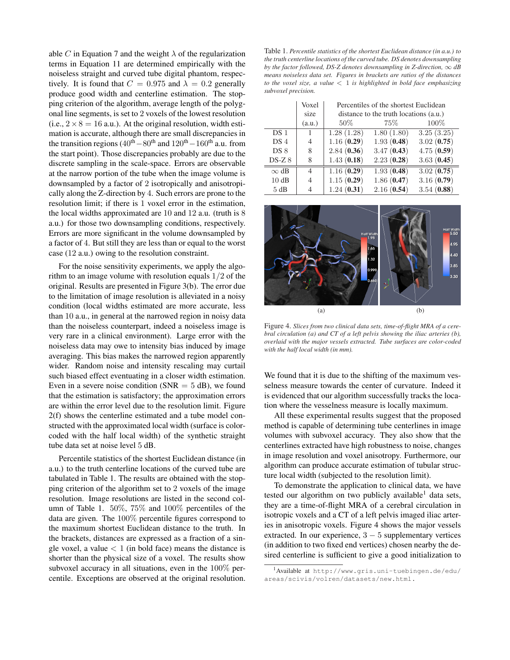able C in Equation 7 and the weight  $\lambda$  of the regularization terms in Equation 11 are determined empirically with the noiseless straight and curved tube digital phantom, respectively. It is found that  $C = 0.975$  and  $\lambda = 0.2$  generally produce good width and centerline estimation. The stopping criterion of the algorithm, average length of the polygonal line segments, is set to 2 voxels of the lowest resolution (i.e.,  $2 \times 8 = 16$  a.u.). At the original resolution, width estimation is accurate, although there are small discrepancies in the transition regions ( $40<sup>th</sup> – 80<sup>th</sup>$  and  $120<sup>th</sup> – 160<sup>th</sup>$  a.u. from the start point). Those discrepancies probably are due to the discrete sampling in the scale-space. Errors are observable at the narrow portion of the tube when the image volume is downsampled by a factor of 2 isotropically and anisotropically along the Z-direction by 4. Such errors are prone to the resolution limit; if there is 1 voxel error in the estimation, the local widths approximated are 10 and 12 a.u. (truth is 8 a.u.) for those two downsampling conditions, respectively. Errors are more significant in the volume downsampled by a factor of 4. But still they are less than or equal to the worst case (12 a.u.) owing to the resolution constraint.

For the noise sensitivity experiments, we apply the algorithm to an image volume with resolution equals 1/2 of the original. Results are presented in Figure 3(b). The error due to the limitation of image resolution is alleviated in a noisy condition (local widths estimated are more accurate, less than 10 a.u., in general at the narrowed region in noisy data than the noiseless counterpart, indeed a noiseless image is very rare in a clinical environment). Large error with the noiseless data may owe to intensity bias induced by image averaging. This bias makes the narrowed region apparently wider. Random noise and intensity rescaling may curtail such biased effect eventuating in a closer width estimation. Even in a severe noise condition ( $SNR = 5$  dB), we found that the estimation is satisfactory; the approximation errors are within the error level due to the resolution limit. Figure 2(f) shows the centerline estimated and a tube model constructed with the approximated local width (surface is colorcoded with the half local width) of the synthetic straight tube data set at noise level 5 dB.

Percentile statistics of the shortest Euclidean distance (in a.u.) to the truth centerline locations of the curved tube are tabulated in Table 1. The results are obtained with the stopping criterion of the algorithm set to 2 voxels of the image resolution. Image resolutions are listed in the second column of Table 1. 50%, 75% and 100% percentiles of the data are given. The 100% percentile figures correspond to the maximum shortest Euclidean distance to the truth. In the brackets, distances are expressed as a fraction of a single voxel, a value  $< 1$  (in bold face) means the distance is shorter than the physical size of a voxel. The results show subvoxel accuracy in all situations, even in the 100% percentile. Exceptions are observed at the original resolution.

Table 1. *Percentile statistics of the shortest Euclidean distance (in a.u.) to the truth centerline locations of the curved tube. DS denotes downsampling by the factor followed, DS-Z denotes downsampling in Z-direction,*  $\infty$  *dB means noiseless data set. Figures in brackets are ratios of the distances to the voxel size, a value* < 1 *is highlighted in bold face emphasizing subvoxel precision.*

|                 | Voxel          | Percentiles of the shortest Euclidean  |            |            |
|-----------------|----------------|----------------------------------------|------------|------------|
|                 | size           | distance to the truth locations (a.u.) |            |            |
|                 | (a.u.)         | 50%                                    | 75\%       | 100%       |
| DS 1            |                | 1.28(1.28)                             | 1.80(1.80) | 3.25(3.25) |
| DS <sub>4</sub> | $\overline{4}$ | 1.16(0.29)                             | 1.93(0.48) | 3.02(0.75) |
| DS 8            | 8              | 2.84(0.36)                             | 3.47(0.43) | 4.75(0.59) |
| $DS-Z8$         | 8              | 1.43(0.18)                             | 2.23(0.28) | 3.63(0.45) |
| $\infty$ dB     | 4              | 1.16(0.29)                             | 1.93(0.48) | 3.02(0.75) |
| 10dB            | 4              | 1.15(0.29)                             | 1.86(0.47) | 3.16(0.79) |
| 5 dB            | 4              | 1.24(0.31)                             | 2.16(0.54) | 3.54(0.88) |



Figure 4. *Slices from two clinical data sets, time-of-flight MRA of a cerebral circulation (a) and CT of a left pelvis showing the iliac arteries (b), overlaid with the major vessels extracted. Tube surfaces are color-coded with the half local width (in mm).*

We found that it is due to the shifting of the maximum vesselness measure towards the center of curvature. Indeed it is evidenced that our algorithm successfully tracks the location where the vesselness measure is locally maximum.

All these experimental results suggest that the proposed method is capable of determining tube centerlines in image volumes with subvoxel accuracy. They also show that the centerlines extracted have high robustness to noise, changes in image resolution and voxel anisotropy. Furthermore, our algorithm can produce accurate estimation of tubular structure local width (subjected to the resolution limit).

To demonstrate the application to clinical data, we have tested our algorithm on two publicly available<sup>1</sup> data sets, they are a time-of-flight MRA of a cerebral circulation in isotropic voxels and a CT of a left pelvis imaged iliac arteries in anisotropic voxels. Figure 4 shows the major vessels extracted. In our experience, 3 − 5 supplementary vertices (in addition to two fixed end vertices) chosen nearby the desired centerline is sufficient to give a good initialization to

<sup>1</sup>Available at http://www.gris.uni-tuebingen.de/edu/ areas/scivis/volren/datasets/new.html.